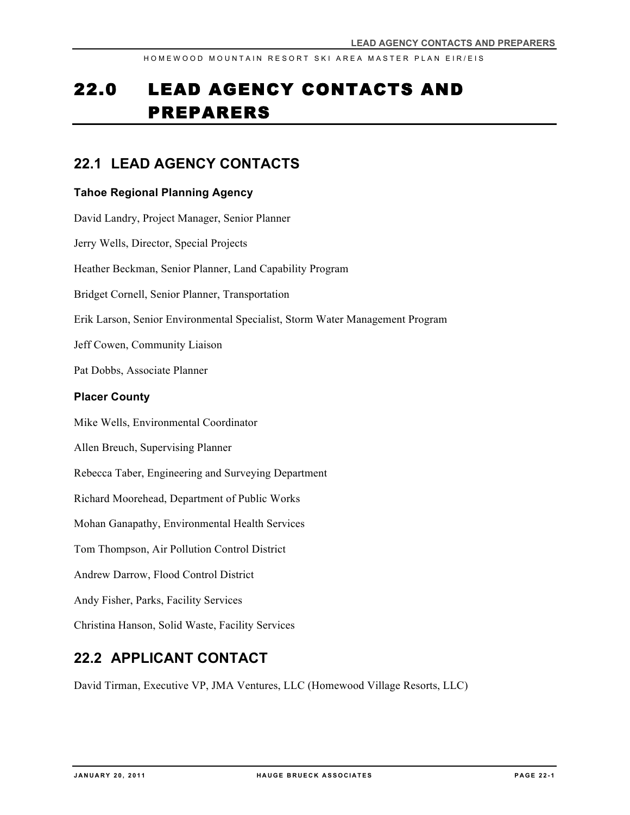# 22.0 LEAD AGENCY CONTACTS AND PREPARERS

### **22.1 LEAD AGENCY CONTACTS**

#### **Tahoe Regional Planning Agency**

David Landry, Project Manager, Senior Planner Jerry Wells, Director, Special Projects Heather Beckman, Senior Planner, Land Capability Program Bridget Cornell, Senior Planner, Transportation Erik Larson, Senior Environmental Specialist, Storm Water Management Program Jeff Cowen, Community Liaison Pat Dobbs, Associate Planner **Placer County** Mike Wells, Environmental Coordinator Allen Breuch, Supervising Planner Rebecca Taber, Engineering and Surveying Department Richard Moorehead, Department of Public Works Mohan Ganapathy, Environmental Health Services Tom Thompson, Air Pollution Control District Andrew Darrow, Flood Control District Andy Fisher, Parks, Facility Services Christina Hanson, Solid Waste, Facility Services

### **22.2 APPLICANT CONTACT**

David Tirman, Executive VP, JMA Ventures, LLC (Homewood Village Resorts, LLC)